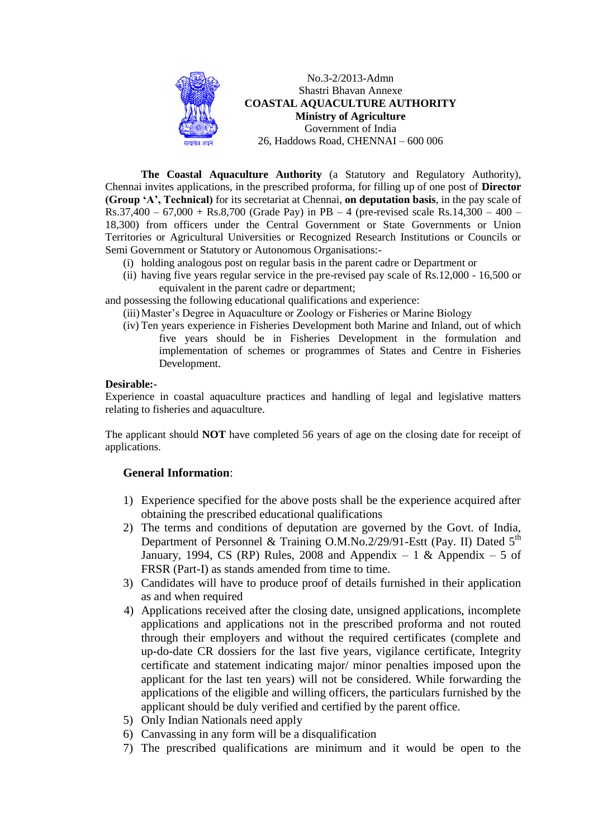

No.3-2/2013-Admn Shastri Bhavan Annexe **COASTAL AQUACULTURE AUTHORITY Ministry of Agriculture** Government of India 26, Haddows Road, CHENNAI – 600 006

 **The Coastal Aquaculture Authority** (a Statutory and Regulatory Authority), Chennai invites applications, in the prescribed proforma, for filling up of one post of **Director (Group 'A', Technical)** for its secretariat at Chennai, **on deputation basis**, in the pay scale of Rs.37,400 – 67,000 + Rs.8,700 (Grade Pay) in PB – 4 (pre-revised scale Rs.14,300 – 400 – 18,300) from officers under the Central Government or State Governments or Union Territories or Agricultural Universities or Recognized Research Institutions or Councils or Semi Government or Statutory or Autonomous Organisations:-

- (i) holding analogous post on regular basis in the parent cadre or Department or
- (ii) having five years regular service in the pre-revised pay scale of Rs.12,000 16,500 or equivalent in the parent cadre or department;

and possessing the following educational qualifications and experience:

- (iii)Master's Degree in Aquaculture or Zoology or Fisheries or Marine Biology
- (iv) Ten years experience in Fisheries Development both Marine and Inland, out of which five years should be in Fisheries Development in the formulation and implementation of schemes or programmes of States and Centre in Fisheries Development.

#### **Desirable:-**

Experience in coastal aquaculture practices and handling of legal and legislative matters relating to fisheries and aquaculture.

The applicant should **NOT** have completed 56 years of age on the closing date for receipt of applications.

### **General Information**:

- 1) Experience specified for the above posts shall be the experience acquired after obtaining the prescribed educational qualifications
- 2) The terms and conditions of deputation are governed by the Govt. of India, Department of Personnel & Training O.M.No.2/29/91-Estt (Pay. II) Dated 5<sup>th</sup> January, 1994, CS (RP) Rules, 2008 and Appendix  $-1 \&$  Appendix  $-5$  of FRSR (Part-I) as stands amended from time to time.
- 3) Candidates will have to produce proof of details furnished in their application as and when required
- 4) Applications received after the closing date, unsigned applications, incomplete applications and applications not in the prescribed proforma and not routed through their employers and without the required certificates (complete and up-do-date CR dossiers for the last five years, vigilance certificate, Integrity certificate and statement indicating major/ minor penalties imposed upon the applicant for the last ten years) will not be considered. While forwarding the applications of the eligible and willing officers, the particulars furnished by the applicant should be duly verified and certified by the parent office.
- 5) Only Indian Nationals need apply
- 6) Canvassing in any form will be a disqualification
- 7) The prescribed qualifications are minimum and it would be open to the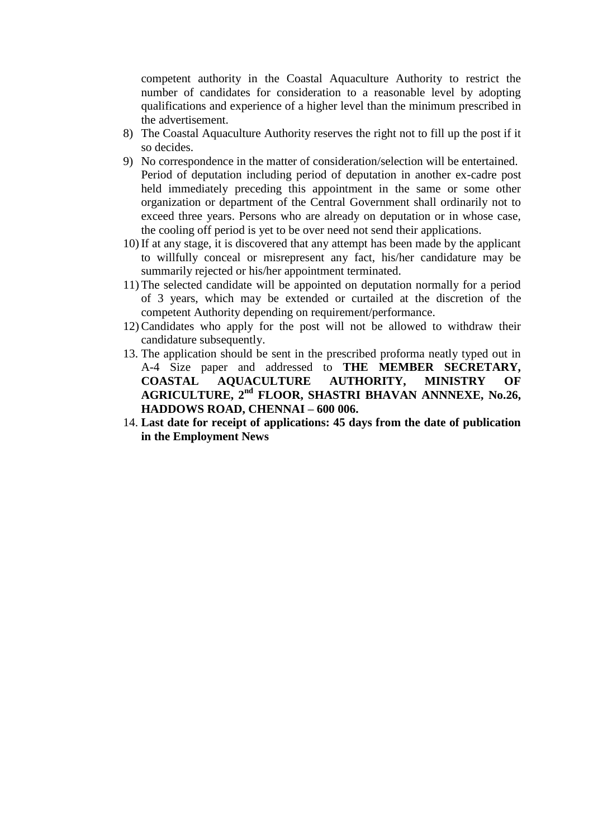competent authority in the Coastal Aquaculture Authority to restrict the number of candidates for consideration to a reasonable level by adopting qualifications and experience of a higher level than the minimum prescribed in the advertisement.

- 8) The Coastal Aquaculture Authority reserves the right not to fill up the post if it so decides.
- 9) No correspondence in the matter of consideration/selection will be entertained. Period of deputation including period of deputation in another ex-cadre post held immediately preceding this appointment in the same or some other organization or department of the Central Government shall ordinarily not to exceed three years. Persons who are already on deputation or in whose case, the cooling off period is yet to be over need not send their applications.
- 10) If at any stage, it is discovered that any attempt has been made by the applicant to willfully conceal or misrepresent any fact, his/her candidature may be summarily rejected or his/her appointment terminated.
- 11) The selected candidate will be appointed on deputation normally for a period of 3 years, which may be extended or curtailed at the discretion of the competent Authority depending on requirement/performance.
- 12) Candidates who apply for the post will not be allowed to withdraw their candidature subsequently.
- 13. The application should be sent in the prescribed proforma neatly typed out in A-4 Size paper and addressed to **THE MEMBER SECRETARY, COASTAL AQUACULTURE AUTHORITY, MINISTRY OF AGRICULTURE, 2nd FLOOR, SHASTRI BHAVAN ANNNEXE, No.26, HADDOWS ROAD, CHENNAI – 600 006.**
- 14. **Last date for receipt of applications: 45 days from the date of publication in the Employment News**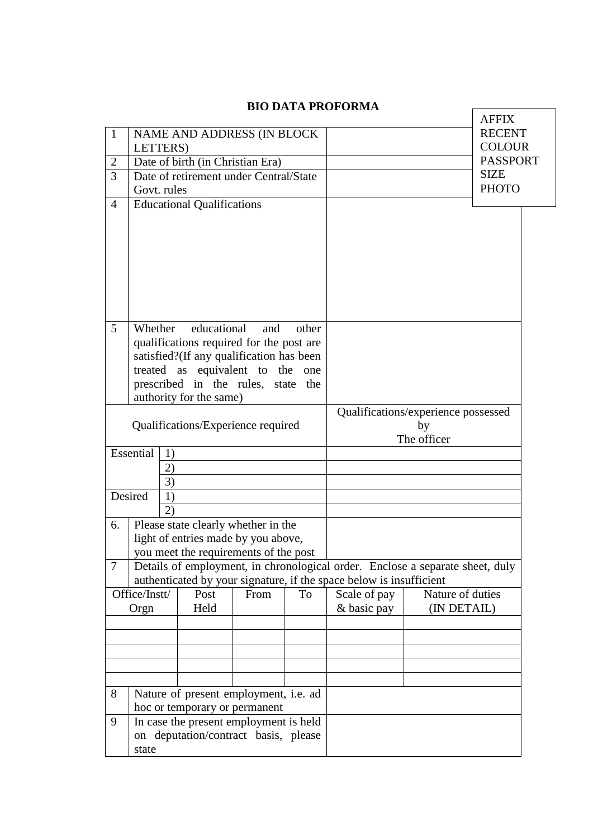|                |                                                                                |                                          |      |                                     |                                                                               |                  | <b>AFFIX</b>    |
|----------------|--------------------------------------------------------------------------------|------------------------------------------|------|-------------------------------------|-------------------------------------------------------------------------------|------------------|-----------------|
| $\mathbf{1}$   |                                                                                | NAME AND ADDRESS (IN BLOCK               |      |                                     |                                                                               |                  | <b>RECENT</b>   |
|                | LETTERS)                                                                       |                                          |      |                                     |                                                                               |                  | <b>COLOUR</b>   |
| $\overline{2}$ |                                                                                | Date of birth (in Christian Era)         |      |                                     |                                                                               |                  | <b>PASSPORT</b> |
| 3              |                                                                                | Date of retirement under Central/State   |      |                                     |                                                                               |                  | <b>SIZE</b>     |
|                | Govt. rules                                                                    |                                          |      |                                     |                                                                               |                  | <b>PHOTO</b>    |
| $\overline{4}$ |                                                                                | <b>Educational Qualifications</b>        |      |                                     |                                                                               |                  |                 |
|                |                                                                                |                                          |      |                                     |                                                                               |                  |                 |
|                |                                                                                |                                          |      |                                     |                                                                               |                  |                 |
|                |                                                                                |                                          |      |                                     |                                                                               |                  |                 |
|                |                                                                                |                                          |      |                                     |                                                                               |                  |                 |
|                |                                                                                |                                          |      |                                     |                                                                               |                  |                 |
|                |                                                                                |                                          |      |                                     |                                                                               |                  |                 |
|                |                                                                                |                                          |      |                                     |                                                                               |                  |                 |
| 5              | Whether                                                                        | educational                              | and  | other                               |                                                                               |                  |                 |
|                |                                                                                | qualifications required for the post are |      |                                     |                                                                               |                  |                 |
|                |                                                                                | satisfied?(If any qualification has been |      |                                     |                                                                               |                  |                 |
|                |                                                                                | treated as equivalent to the             |      | one                                 |                                                                               |                  |                 |
|                |                                                                                | prescribed in the rules, state           |      | the                                 |                                                                               |                  |                 |
|                |                                                                                | authority for the same)                  |      |                                     |                                                                               |                  |                 |
|                |                                                                                |                                          |      | Qualifications/experience possessed |                                                                               |                  |                 |
|                |                                                                                | Qualifications/Experience required       |      |                                     |                                                                               | by               |                 |
|                | Essential<br>1)                                                                |                                          |      |                                     |                                                                               | The officer      |                 |
|                | 2)                                                                             |                                          |      |                                     |                                                                               |                  |                 |
|                | 3)                                                                             |                                          |      |                                     |                                                                               |                  |                 |
|                | Desired<br>1)                                                                  |                                          |      |                                     |                                                                               |                  |                 |
|                | 2)                                                                             |                                          |      |                                     |                                                                               |                  |                 |
| 6.             |                                                                                | Please state clearly whether in the      |      |                                     |                                                                               |                  |                 |
|                |                                                                                | light of entries made by you above,      |      |                                     |                                                                               |                  |                 |
|                |                                                                                | you meet the requirements of the post    |      |                                     |                                                                               |                  |                 |
| $\tau$         |                                                                                |                                          |      |                                     | Details of employment, in chronological order. Enclose a separate sheet, duly |                  |                 |
|                |                                                                                |                                          |      |                                     | authenticated by your signature, if the space below is insufficient           |                  |                 |
|                | Office/Instt/                                                                  | Post                                     | From | To                                  | Scale of pay                                                                  | Nature of duties |                 |
|                | Orgn                                                                           | Held                                     |      |                                     | & basic pay                                                                   | (IN DETAIL)      |                 |
|                |                                                                                |                                          |      |                                     |                                                                               |                  |                 |
|                |                                                                                |                                          |      |                                     |                                                                               |                  |                 |
|                |                                                                                |                                          |      |                                     |                                                                               |                  |                 |
|                |                                                                                |                                          |      |                                     |                                                                               |                  |                 |
|                |                                                                                |                                          |      |                                     |                                                                               |                  |                 |
| 8              | Nature of present employment, i.e. ad                                          |                                          |      |                                     |                                                                               |                  |                 |
|                | hoc or temporary or permanent                                                  |                                          |      |                                     |                                                                               |                  |                 |
| 9              | In case the present employment is held<br>on deputation/contract basis, please |                                          |      |                                     |                                                                               |                  |                 |
|                | state                                                                          |                                          |      |                                     |                                                                               |                  |                 |
|                |                                                                                |                                          |      |                                     |                                                                               |                  |                 |

# **BIO DATA PROFORMA**

 $\mathsf{r}$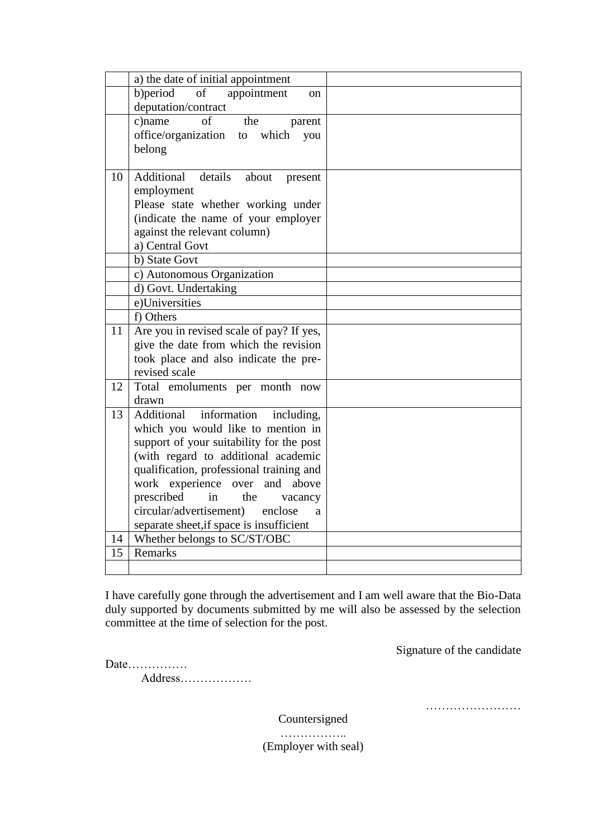|    | a) the date of initial appointment                                                  |  |
|----|-------------------------------------------------------------------------------------|--|
|    | b) period<br>of<br>appointment<br><sub>on</sub>                                     |  |
|    | deputation/contract                                                                 |  |
|    | of<br>c)name<br>the<br>parent                                                       |  |
|    | office/organization<br>to which<br>you                                              |  |
|    | belong                                                                              |  |
|    |                                                                                     |  |
| 10 | Additional details<br>about<br>present                                              |  |
|    | employment                                                                          |  |
|    | Please state whether working under                                                  |  |
|    | (indicate the name of your employer                                                 |  |
|    | against the relevant column)<br>a) Central Govt                                     |  |
|    | b) State Govt                                                                       |  |
|    | c) Autonomous Organization                                                          |  |
|    | d) Govt. Undertaking                                                                |  |
|    | e)Universities                                                                      |  |
|    | f) Others                                                                           |  |
| 11 | Are you in revised scale of pay? If yes,                                            |  |
|    | give the date from which the revision                                               |  |
|    | took place and also indicate the pre-                                               |  |
|    | revised scale                                                                       |  |
| 12 | Total emoluments per month now                                                      |  |
|    | drawn                                                                               |  |
| 13 | Additional information<br>including,                                                |  |
|    | which you would like to mention in                                                  |  |
|    | support of your suitability for the post                                            |  |
|    | (with regard to additional academic                                                 |  |
|    | qualification, professional training and                                            |  |
|    | work experience over<br>and<br>above                                                |  |
|    | prescribed<br>in<br>the<br>vacancy                                                  |  |
|    | circular/advertisement)<br>enclose<br>a<br>separate sheet, if space is insufficient |  |
| 14 | Whether belongs to SC/ST/OBC                                                        |  |
| 15 | Remarks                                                                             |  |
|    |                                                                                     |  |
|    |                                                                                     |  |

I have carefully gone through the advertisement and I am well aware that the Bio-Data duly supported by documents submitted by me will also be assessed by the selection committee at the time of selection for the post.

Signature of the candidate

Date…………… Address………………

……………………

Countersigned

…………….. (Employer with seal)